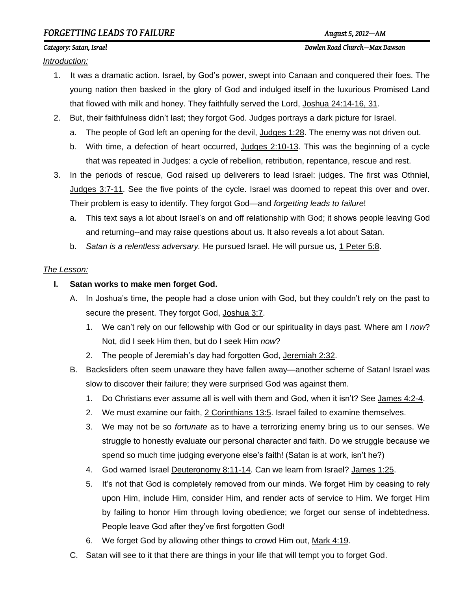# *FORGETTING LEADS TO FAILURE August 5, 2012—AM*

*Introduction:*

- 1. It was a dramatic action. Israel, by God's power, swept into Canaan and conquered their foes. The young nation then basked in the glory of God and indulged itself in the luxurious Promised Land that flowed with milk and honey. They faithfully served the Lord, Joshua 24:14-16, 31.
- 2. But, their faithfulness didn't last; they forgot God. Judges portrays a dark picture for Israel.
	- a. The people of God left an opening for the devil, Judges 1:28. The enemy was not driven out.
	- b. With time, a defection of heart occurred, Judges 2:10-13. This was the beginning of a cycle that was repeated in Judges: a cycle of rebellion, retribution, repentance, rescue and rest.
- 3. In the periods of rescue, God raised up deliverers to lead Israel: judges. The first was Othniel, Judges 3:7-11. See the five points of the cycle. Israel was doomed to repeat this over and over. Their problem is easy to identify. They forgot God—and *forgetting leads to failure*!
	- a. This text says a lot about Israel's on and off relationship with God; it shows people leaving God and returning--and may raise questions about us. It also reveals a lot about Satan.
	- b. *Satan is a relentless adversary.* He pursued Israel. He will pursue us, 1 Peter 5:8.

#### *The Lesson:*

- **I. Satan works to make men forget God.**
	- A. In Joshua's time, the people had a close union with God, but they couldn't rely on the past to secure the present. They forgot God, Joshua 3:7.
		- 1. We can't rely on our fellowship with God or our spirituality in days past. Where am I *now*? Not, did I seek Him then, but do I seek Him *now*?
		- 2. The people of Jeremiah's day had forgotten God, Jeremiah 2:32.
	- B. Backsliders often seem unaware they have fallen away—another scheme of Satan! Israel was slow to discover their failure; they were surprised God was against them.
		- 1. Do Christians ever assume all is well with them and God, when it isn't? See James 4:2-4.
		- 2. We must examine our faith, 2 Corinthians 13:5. Israel failed to examine themselves.
		- 3. We may not be so *fortunate* as to have a terrorizing enemy bring us to our senses. We struggle to honestly evaluate our personal character and faith. Do we struggle because we spend so much time judging everyone else's faith! (Satan is at work, isn't he?)
		- 4. God warned Israel Deuteronomy 8:11-14. Can we learn from Israel? James 1:25.
		- 5. It's not that God is completely removed from our minds. We forget Him by ceasing to rely upon Him, include Him, consider Him, and render acts of service to Him. We forget Him by failing to honor Him through loving obedience; we forget our sense of indebtedness. People leave God after they've first forgotten God!
		- 6. We forget God by allowing other things to crowd Him out, Mark 4:19.
	- C. Satan will see to it that there are things in your life that will tempt you to forget God.